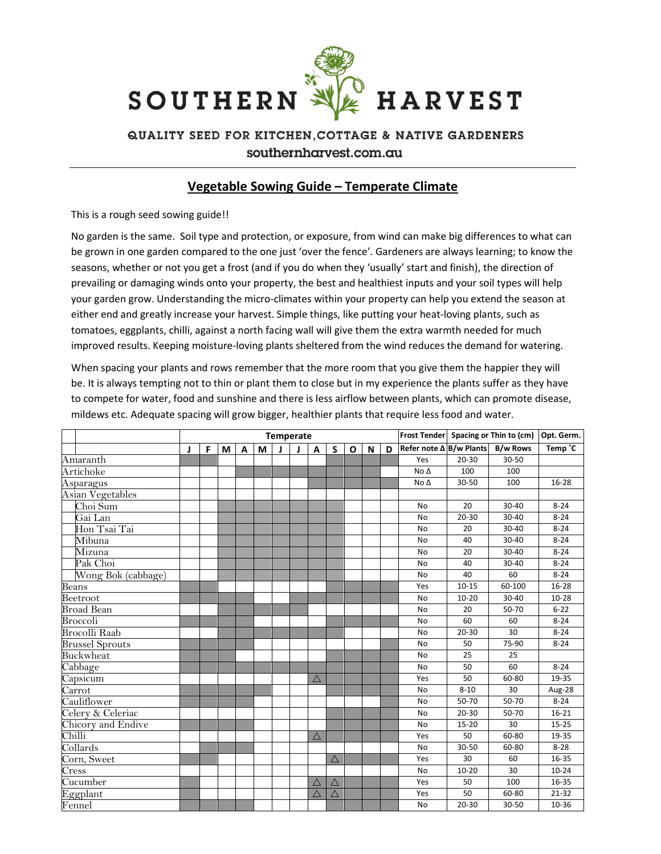

## QUALITY SEED FOR KITCHEN, COTTAGE & NATIVE GARDENERS southernharvest.com.au

## Vegetable Sowing Guide – Temperate Climate

This is a rough seed sowing guide!!

No garden is the same. Soil type and protection, or exposure, from wind can make big differences to what can be grown in one garden compared to the one just 'over the fence'. Gardeners are always learning; to know the seasons, whether or not you get a frost (and if you do when they 'usually' start and finish), the direction of prevailing or damaging winds onto your property, the best and healthiest inputs and your soil types will help your garden grow. Understanding the micro-climates within your property can help you extend the season at either end and greatly increase your harvest. Simple things, like putting your heat-loving plants, such as tomatoes, eggplants, chilli, against a north facing wall will give them the extra warmth needed for much improved results. Keeping moisture-loving plants sheltered from the wind reduces the demand for watering.

When spacing your plants and rows remember that the more room that you give them the happier they will be. It is always tempting not to thin or plant them to close but in my experience the plants suffer as they have to compete for water, food and sunshine and there is less airflow between plants, which can promote disease, mildews etc. Adequate spacing will grow bigger, healthier plants that require less food and water.

|                        | Temperate |   |   |   |   |  |  |             |             |   |   |   |                         |           | Frost Tender Spacing or Thin to (cm) | Opt. Germ. |
|------------------------|-----------|---|---|---|---|--|--|-------------|-------------|---|---|---|-------------------------|-----------|--------------------------------------|------------|
|                        | J         | F | M | A | М |  |  | Α           | S           | O | N | D | Refer note ∆ B/w Plants |           | <b>B/w Rows</b>                      | Temp °C    |
| Amaranth               |           |   |   |   |   |  |  |             |             |   |   |   | Yes                     | $20 - 30$ | 30-50                                |            |
| Artichoke              |           |   |   |   |   |  |  |             |             |   |   |   | No $\Delta$             | 100       | 100                                  |            |
| Asparagus              |           |   |   |   |   |  |  |             |             |   |   |   | No $\Delta$             | 30-50     | 100                                  | 16-28      |
| Asian Vegetables       |           |   |   |   |   |  |  |             |             |   |   |   |                         |           |                                      |            |
| Choi Sum               |           |   |   |   |   |  |  |             |             |   |   |   | No                      | 20        | 30-40                                | $8 - 24$   |
| Gai Lan                |           |   |   |   |   |  |  |             |             |   |   |   | <b>No</b>               | $20 - 30$ | 30-40                                | $8 - 24$   |
| Hon Tsai Tai           |           |   |   |   |   |  |  |             |             |   |   |   | No                      | 20        | 30-40                                | $8 - 24$   |
| Mibuna                 |           |   |   |   |   |  |  |             |             |   |   |   | No                      | 40        | 30-40                                | $8 - 24$   |
| Mizuna                 |           |   |   |   |   |  |  |             |             |   |   |   | No                      | 20        | 30-40                                | $8 - 24$   |
| Pak Choi               |           |   |   |   |   |  |  |             |             |   |   |   | No                      | 40        | 30-40                                | $8 - 24$   |
| Wong Bok (cabbage)     |           |   |   |   |   |  |  |             |             |   |   |   | No                      | 40        | 60                                   | $8 - 24$   |
| Beans                  |           |   |   |   |   |  |  |             |             |   |   |   | Yes                     | $10 - 15$ | 60-100                               | $16 - 28$  |
| Beetroot               |           |   |   |   |   |  |  |             |             |   |   |   | <b>No</b>               | $10 - 20$ | 30-40                                | $10 - 28$  |
| <b>Broad Bean</b>      |           |   |   |   |   |  |  |             |             |   |   |   | No                      | 20        | 50-70                                | $6 - 22$   |
| Broccoli               |           |   |   |   |   |  |  |             |             |   |   |   | <b>No</b>               | 60        | 60                                   | $8 - 24$   |
| <b>Brocolli Raab</b>   |           |   |   |   |   |  |  |             |             |   |   |   | <b>No</b>               | $20 - 30$ | 30                                   | $8 - 24$   |
| <b>Brussel Sprouts</b> |           |   |   |   |   |  |  |             |             |   |   |   | No                      | 50        | 75-90                                | $8 - 24$   |
| Buckwheat              |           |   |   |   |   |  |  |             |             |   |   |   | No                      | 25        | 25                                   |            |
| Cabbage                |           |   |   |   |   |  |  |             |             |   |   |   | <b>No</b>               | 50        | 60                                   | $8 - 24$   |
| Capsicum               |           |   |   |   |   |  |  | $\triangle$ |             |   |   |   | Yes                     | 50        | 60-80                                | 19-35      |
| Carrot                 |           |   |   |   |   |  |  |             |             |   |   |   | No                      | $8 - 10$  | 30                                   | Aug-28     |
| Cauliflower            |           |   |   |   |   |  |  |             |             |   |   |   | No                      | 50-70     | 50-70                                | $8 - 24$   |
| Celery & Celeriac      |           |   |   |   |   |  |  |             |             |   |   |   | No                      | $20 - 30$ | 50-70                                | $16 - 21$  |
| Chicory and Endive     |           |   |   |   |   |  |  |             |             |   |   |   | No                      | $15 - 20$ | 30                                   | $15 - 25$  |
| Chilli                 |           |   |   |   |   |  |  | $\triangle$ |             |   |   |   | Yes                     | 50        | 60-80                                | 19-35      |
| Collards               |           |   |   |   |   |  |  |             |             |   |   |   | <b>No</b>               | 30-50     | 60-80                                | $8 - 28$   |
| Corn, Sweet            |           |   |   |   |   |  |  |             | $\triangle$ |   |   |   | Yes                     | 30        | 60                                   | 16-35      |
| Cress                  |           |   |   |   |   |  |  |             |             |   |   |   | No                      | $10 - 20$ | 30                                   | $10 - 24$  |
| Cucumber               |           |   |   |   |   |  |  | $\triangle$ | $\triangle$ |   |   |   | Yes                     | 50        | 100                                  | 16-35      |
| Eggplant               |           |   |   |   |   |  |  | $\triangle$ | $\triangle$ |   |   |   | Yes                     | 50        | 60-80                                | 21-32      |
| Fennel                 |           |   |   |   |   |  |  |             |             |   |   |   | No                      | $20 - 30$ | 30-50                                | 10-36      |